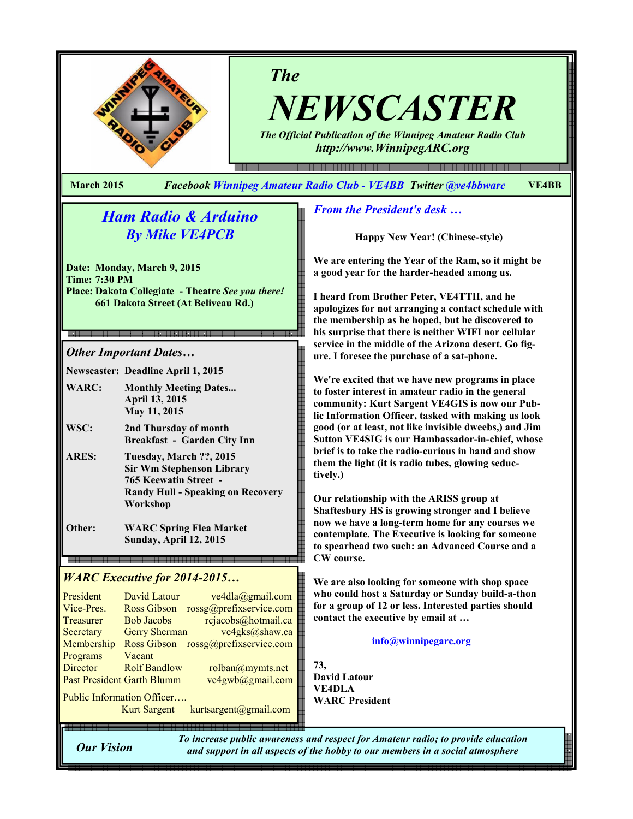

The

NEWSCASTER

The Official Publication of the Winnipeg Amateur Radio Club http://www.WinnipegARC.org

March 2015 Facebook Winnipeg Amateur Radio Club - VE4BB Twitter @ve4bbwarc VE4BB

# Ham Radio & Arduino By Mike VE4PCB

Date: Monday, March 9, 2015 Time: 7:30 PM Place: Dakota Collegiate - Theatre See you there! 661 Dakota Street (At Beliveau Rd.)

## Other Important Dates…

Newscaster: Deadline April 1, 2015

- WARC: Monthly Meeting Dates... April 13, 2015 May 11, 2015
- WSC: 2nd Thursday of month Breakfast - Garden City Inn
- ARES: Tuesday, March ??, 2015 Sir Wm Stephenson Library 765 Keewatin Street - Randy Hull - Speaking on Recovery Workshop
- Other: WARC Spring Flea Market Sunday, April 12, 2015

# WARC Executive for 2014-2015…

President David Latour ve4dla@gmail.com Vice-Pres. Ross Gibson rossg@prefixservice.com Treasurer Bob Jacobs rejacobs@hotmail.ca Secretary Gerry Sherman ve4gks@shaw.ca Membership Ross Gibson rossg@prefixservice.com Programs Vacant<br>Director Rolf Bandlow Director Rolf Bandlow rolban@mymts.net Past President Garth Blumm ve4gwb@gmail.com Public Information Officer….

Kurt Sargent kurtsargent@gmail.com

# From the President's desk …

Happy New Year! (Chinese-style)

We are entering the Year of the Ram, so it might be a good year for the harder-headed among us.

I heard from Brother Peter, VE4TTH, and he apologizes for not arranging a contact schedule with the membership as he hoped, but he discovered to his surprise that there is neither WIFI nor cellular service in the middle of the Arizona desert. Go figure. I foresee the purchase of a sat-phone.

We're excited that we have new programs in place to foster interest in amateur radio in the general community: Kurt Sargent VE4GIS is now our Public Information Officer, tasked with making us look good (or at least, not like invisible dweebs,) and Jim Sutton VE4SIG is our Hambassador-in-chief, whose brief is to take the radio-curious in hand and show them the light (it is radio tubes, glowing seductively.)

Our relationship with the ARISS group at Shaftesbury HS is growing stronger and I believe now we have a long-term home for any courses we contemplate. The Executive is looking for someone to spearhead two such: an Advanced Course and a CW course.

We are also looking for someone with shop space who could host a Saturday or Sunday build-a-thon for a group of 12 or less. Interested parties should contact the executive by email at …

#### info@winnipegarc.org

73, David Latour VE4DLA WARC President

Our Vision

To increase public awareness and respect for Amateur radio; to provide education and support in all aspects of the hobby to our members in a social atmosphere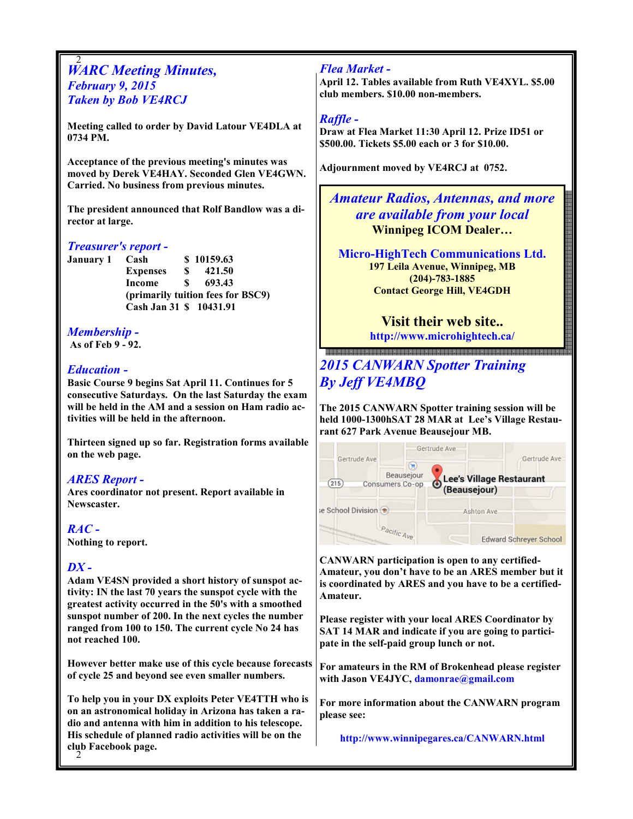#### 2 WARC Meeting Minutes, February 9, 2015 Taken by Bob VE4RCJ

Meeting called to order by David Latour VE4DLA at 0734 PM.

Acceptance of the previous meeting's minutes was moved by Derek VE4HAY. Seconded Glen VE4GWN. Carried. No business from previous minutes.

The president announced that Rolf Bandlow was a director at large.

#### Treasurer's report -

January 1 Cash \$ 10159.63 Expenses \$ 421.50 Income \$ 693.43 (primarily tuition fees for BSC9) Cash Jan 31 \$ 10431.91

# Membership -

As of Feb 9 - 92.

### Education -

Basic Course 9 begins Sat April 11. Continues for 5 consecutive Saturdays. On the last Saturday the exam will be held in the AM and a session on Ham radio activities will be held in the afternoon.

Thirteen signed up so far. Registration forms available on the web page.

## ARES Report -

Ares coordinator not present. Report available in Newscaster.

## RAC -

Nothing to report.

## $DX -$

Adam VE4SN provided a short history of sunspot activity: IN the last 70 years the sunspot cycle with the greatest activity occurred in the 50's with a smoothed sunspot number of 200. In the next cycles the number ranged from 100 to 150. The current cycle No 24 has not reached 100.

However better make use of this cycle because forecasts of cycle 25 and beyond see even smaller numbers.

2 To help you in your DX exploits Peter VE4TTH who is on an astronomical holiday in Arizona has taken a radio and antenna with him in addition to his telescope. His schedule of planned radio activities will be on the club Facebook page.

### Flea Market -

April 12. Tables available from Ruth VE4XYL. \$5.00 club members. \$10.00 non-members.

#### Raffle -

Draw at Flea Market 11:30 April 12. Prize ID51 or \$500.00. Tickets \$5.00 each or 3 for \$10.00.

Adjournment moved by VE4RCJ at 0752.

Amateur Radios, Antennas, and more are available from your local Winnipeg ICOM Dealer…

Micro-HighTech Communications Ltd. 197 Leila Avenue, Winnipeg, MB (204)-783-1885 Contact George Hill, VE4GDH

> Visit their web site.. http://www.microhightech.ca/

# 2015 CANWARN Spotter Training By Jeff VE4MBQ

The 2015 CANWARN Spotter training session will be held 1000-1300hSAT 28 MAR at Lee's Village Restaurant 627 Park Avenue Beausejour MB.

| Gertrude Ave                         | Gertrude Ave                                  | Gertrude Ave                  |
|--------------------------------------|-----------------------------------------------|-------------------------------|
| Beausejour<br>215<br>Consumers Co-op | Œ<br>Lee's Village Restaurant<br>(Beausejour) |                               |
| se School Division (क)               | Ashton Ave                                    |                               |
| Pacific Ave                          |                                               | <b>Edward Schreyer School</b> |

CANWARN participation is open to any certified-Amateur, you don't have to be an ARES member but it is coordinated by ARES and you have to be a certified-Amateur.

Please register with your local ARES Coordinator by SAT 14 MAR and indicate if you are going to participate in the self-paid group lunch or not.

For amateurs in the RM of Brokenhead please register with Jason VE4JYC, damonrae@gmail.com

For more information about the CANWARN program please see:

http://www.winnipegares.ca/CANWARN.html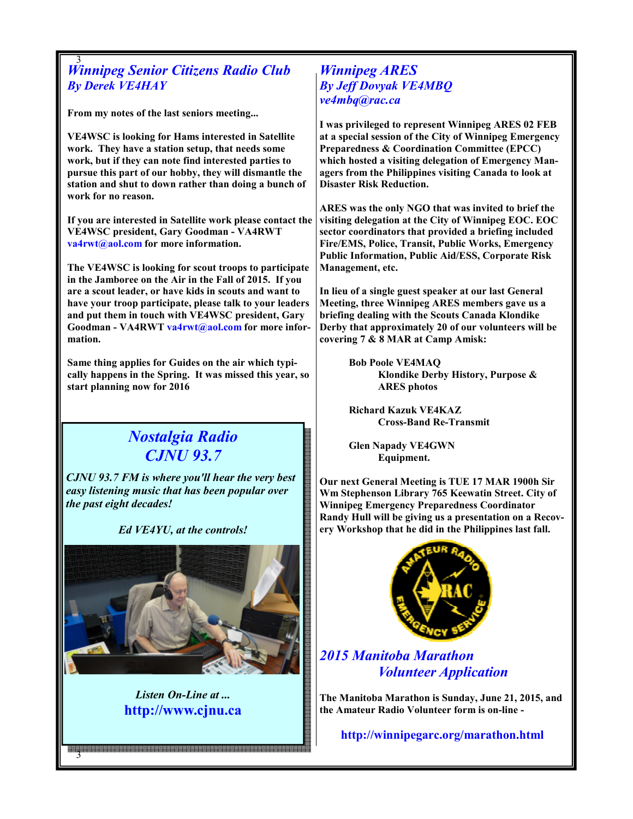#### 3 Winnipeg Senior Citizens Radio Club By Derek VE4HAY

From my notes of the last seniors meeting...

VE4WSC is looking for Hams interested in Satellite work. They have a station setup, that needs some work, but if they can note find interested parties to pursue this part of our hobby, they will dismantle the station and shut to down rather than doing a bunch of work for no reason.

If you are interested in Satellite work please contact the VE4WSC president, Gary Goodman - VA4RWT va4rwt@aol.com for more information.

The VE4WSC is looking for scout troops to participate in the Jamboree on the Air in the Fall of 2015. If you are a scout leader, or have kids in scouts and want to have your troop participate, please talk to your leaders and put them in touch with VE4WSC president, Gary Goodman - VA4RWT va4rwt@aol.com for more information.

Same thing applies for Guides on the air which typically happens in the Spring. It was missed this year, so start planning now for 2016

# Nostalgia Radio CJNU 93.7

CJNU 93.7 FM is where you'll hear the very best easy listening music that has been popular over the past eight decades!

Ed VE4YU, at the controls!



Listen On-Line at ... http://www.cjnu.ca

3

## Winnipeg ARES By Jeff Dovyak VE4MBQ ve4mbq@rac.ca

I was privileged to represent Winnipeg ARES 02 FEB at a special session of the City of Winnipeg Emergency Preparedness & Coordination Committee (EPCC) which hosted a visiting delegation of Emergency Managers from the Philippines visiting Canada to look at Disaster Risk Reduction.

ARES was the only NGO that was invited to brief the visiting delegation at the City of Winnipeg EOC. EOC sector coordinators that provided a briefing included Fire/EMS, Police, Transit, Public Works, Emergency Public Information, Public Aid/ESS, Corporate Risk Management, etc.

In lieu of a single guest speaker at our last General Meeting, three Winnipeg ARES members gave us a briefing dealing with the Scouts Canada Klondike Derby that approximately 20 of our volunteers will be covering 7 & 8 MAR at Camp Amisk:

> Bob Poole VE4MAQ Klondike Derby History, Purpose & ARES photos

 Richard Kazuk VE4KAZ Cross-Band Re-Transmit

 Glen Napady VE4GWN Equipment.

Our next General Meeting is TUE 17 MAR 1900h Sir Wm Stephenson Library 765 Keewatin Street. City of Winnipeg Emergency Preparedness Coordinator Randy Hull will be giving us a presentation on a Recovery Workshop that he did in the Philippines last fall.



# 2015 Manitoba Marathon Volunteer Application

The Manitoba Marathon is Sunday, June 21, 2015, and the Amateur Radio Volunteer form is on-line -

http://winnipegarc.org/marathon.html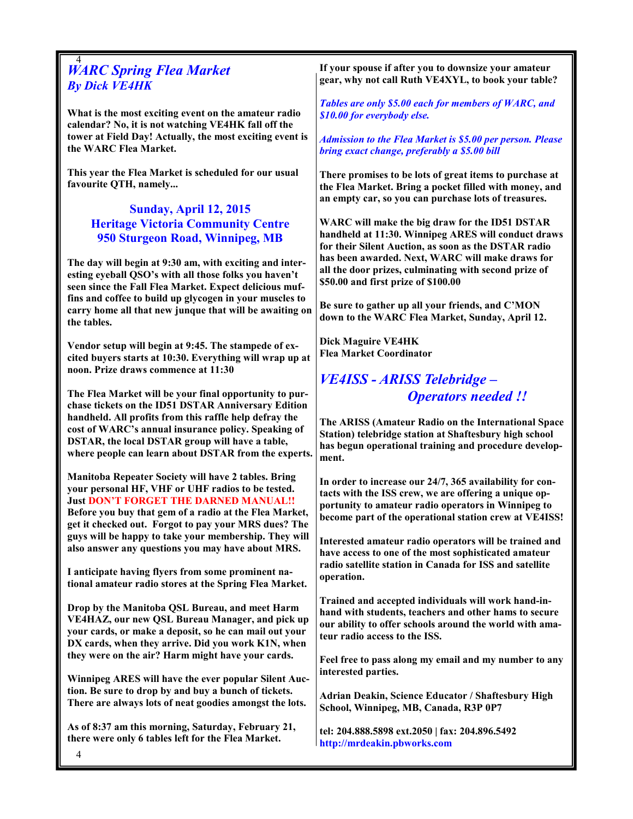#### 4 WARC Spring Flea Market By Dick VE4HK

What is the most exciting event on the amateur radio calendar? No, it is not watching VE4HK fall off the tower at Field Day! Actually, the most exciting event is the WARC Flea Market.

This year the Flea Market is scheduled for our usual favourite QTH, namely...

## Sunday, April 12, 2015 Heritage Victoria Community Centre 950 Sturgeon Road, Winnipeg, MB

The day will begin at 9:30 am, with exciting and interesting eyeball QSO's with all those folks you haven't seen since the Fall Flea Market. Expect delicious muffins and coffee to build up glycogen in your muscles to carry home all that new junque that will be awaiting on the tables.

Vendor setup will begin at 9:45. The stampede of excited buyers starts at 10:30. Everything will wrap up at noon. Prize draws commence at 11:30

The Flea Market will be your final opportunity to purchase tickets on the ID51 DSTAR Anniversary Edition handheld. All profits from this raffle help defray the cost of WARC's annual insurance policy. Speaking of DSTAR, the local DSTAR group will have a table, where people can learn about DSTAR from the experts.

Manitoba Repeater Society will have 2 tables. Bring your personal HF, VHF or UHF radios to be tested. **Just DON'T FORGET THE DARNED MANUAL!!** Before you buy that gem of a radio at the Flea Market, get it checked out. Forgot to pay your MRS dues? The guys will be happy to take your membership. They will also answer any questions you may have about MRS.

I anticipate having flyers from some prominent national amateur radio stores at the Spring Flea Market.

Drop by the Manitoba QSL Bureau, and meet Harm VE4HAZ, our new QSL Bureau Manager, and pick up your cards, or make a deposit, so he can mail out your DX cards, when they arrive. Did you work K1N, when they were on the air? Harm might have your cards.

Winnipeg ARES will have the ever popular Silent Auction. Be sure to drop by and buy a bunch of tickets. There are always lots of neat goodies amongst the lots.

As of 8:37 am this morning, Saturday, February 21, there were only 6 tables left for the Flea Market.

If your spouse if after you to downsize your amateur gear, why not call Ruth VE4XYL, to book your table?

Tables are only \$5.00 each for members of WARC, and \$10.00 for everybody else.

Admission to the Flea Market is \$5.00 per person. Please bring exact change, preferably a \$5.00 bill

There promises to be lots of great items to purchase at the Flea Market. Bring a pocket filled with money, and an empty car, so you can purchase lots of treasures.

WARC will make the big draw for the ID51 DSTAR handheld at 11:30. Winnipeg ARES will conduct draws for their Silent Auction, as soon as the DSTAR radio has been awarded. Next, WARC will make draws for all the door prizes, culminating with second prize of \$50.00 and first prize of \$100.00

Be sure to gather up all your friends, and C'MON down to the WARC Flea Market, Sunday, April 12.

Dick Maguire VE4HK Flea Market Coordinator

# VE4ISS - ARISS Telebridge – Operators needed !!

The ARISS (Amateur Radio on the International Space Station) telebridge station at Shaftesbury high school has begun operational training and procedure development.

In order to increase our 24/7, 365 availability for contacts with the ISS crew, we are offering a unique opportunity to amateur radio operators in Winnipeg to become part of the operational station crew at VE4ISS!

Interested amateur radio operators will be trained and have access to one of the most sophisticated amateur radio satellite station in Canada for ISS and satellite operation.

Trained and accepted individuals will work hand-inhand with students, teachers and other hams to secure our ability to offer schools around the world with amateur radio access to the ISS.

Feel free to pass along my email and my number to any interested parties.

Adrian Deakin, Science Educator / Shaftesbury High School, Winnipeg, MB, Canada, R3P 0P7

tel: 204.888.5898 ext.2050 | fax: 204.896.5492 http://mrdeakin.pbworks.com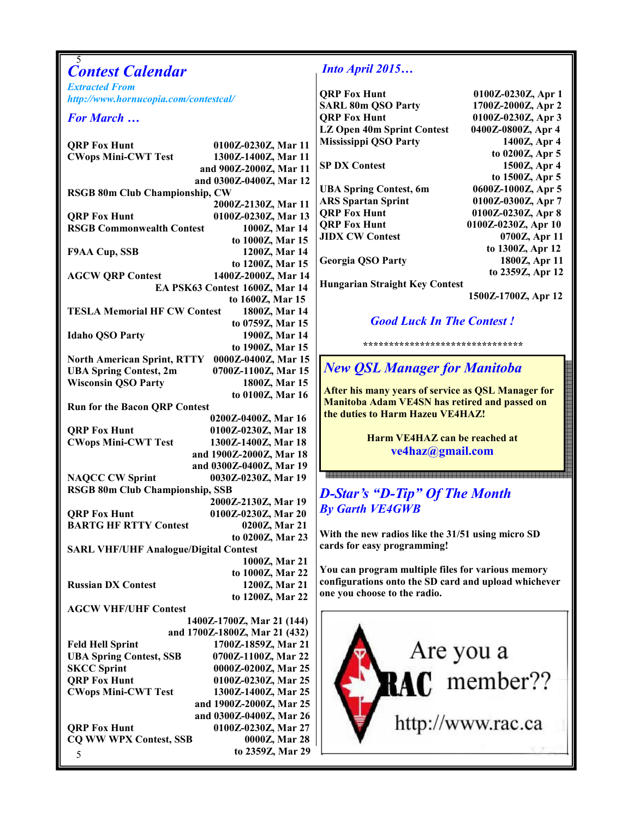#### 5 Contest Calendar

Extracted From http://www.hornucopia.com/contestcal/

#### For March …

| <b>QRP Fox Hunt</b>                          | 0100Z-0230Z, Mar 11            |  |
|----------------------------------------------|--------------------------------|--|
| <b>CWops Mini-CWT Test</b>                   | 1300Z-1400Z, Mar 11            |  |
|                                              | and 900Z-2000Z, Mar 11         |  |
|                                              | and 0300Z-0400Z, Mar 12        |  |
| <b>RSGB 80m Club Championship, CW</b>        |                                |  |
|                                              | 2000Z-2130Z, Mar 11            |  |
| <b>QRP Fox Hunt</b>                          | 0100Z-0230Z, Mar 13            |  |
| <b>RSGB Commonwealth Contest</b>             | 1000Z, Mar 14                  |  |
|                                              |                                |  |
|                                              | to 1000Z, Mar 15               |  |
| <b>F9AA Cup, SSB</b>                         | 1200Z, Mar 14                  |  |
|                                              | to 1200Z, Mar 15               |  |
| <b>AGCW QRP Contest</b>                      | 1400Z-2000Z, Mar 14            |  |
|                                              | EA PSK63 Contest 1600Z, Mar 14 |  |
|                                              | to 1600Z, Mar 15               |  |
| <b>TESLA Memorial HF CW Contest</b>          | 1800Z, Mar 14                  |  |
|                                              | to 0759Z, Mar 15               |  |
| <b>Idaho QSO Party</b>                       | 1900Z, Mar 14                  |  |
|                                              | to 1900Z, Mar 15               |  |
| <b>North American Sprint, RTTY</b>           | 0000Z-0400Z, Mar 15            |  |
| <b>UBA Spring Contest, 2m</b>                | 0700Z-1100Z, Mar 15            |  |
| <b>Wisconsin QSO Party</b>                   | 1800Z, Mar 15                  |  |
|                                              | to 0100Z, Mar 16               |  |
| <b>Run for the Bacon QRP Contest</b>         |                                |  |
|                                              | 0200Z-0400Z, Mar 16            |  |
| <b>QRP Fox Hunt</b>                          | 0100Z-0230Z, Mar 18            |  |
|                                              |                                |  |
| <b>CWops Mini-CWT Test</b>                   | 1300Z-1400Z, Mar 18            |  |
|                                              | and 1900Z-2000Z, Mar 18        |  |
|                                              | and 0300Z-0400Z, Mar 19        |  |
| <b>NAQCC CW Sprint</b>                       | 0030Z-0230Z, Mar 19            |  |
| RSGB 80m Club Championship, SSB              |                                |  |
|                                              | 2000Z-2130Z, Mar 19            |  |
| <b>QRP Fox Hunt</b>                          | 0100Z-0230Z, Mar 20            |  |
| <b>BARTG HF RTTY Contest</b>                 | 0200Z, Mar 21                  |  |
|                                              | to 0200Z, Mar 23               |  |
| <b>SARL VHF/UHF Analogue/Digital Contest</b> |                                |  |
|                                              | 1000Z, Mar 21                  |  |
|                                              | to 1000Z, Mar 22               |  |
| <b>Russian DX Contest</b>                    | 1200Z, Mar 21                  |  |
|                                              | to 1200Z, Mar 22               |  |
| <b>AGCW VHF/UHF Contest</b>                  |                                |  |
| 1400Z-1700Z, Mar 21 (144)                    |                                |  |
|                                              | and 1700Z-1800Z, Mar 21 (432)  |  |
| <b>Feld Hell Sprint</b>                      | 1700Z-1859Z, Mar 21            |  |
|                                              |                                |  |
| <b>UBA Spring Contest, SSB</b>               | 0700Z-1100Z, Mar 22            |  |
| <b>SKCC Sprint</b>                           | 0000Z-0200Z, Mar 25            |  |
| <b>QRP Fox Hunt</b>                          | 0100Z-0230Z, Mar 25            |  |
| <b>CWops Mini-CWT Test</b>                   | 1300Z-1400Z, Mar 25            |  |
|                                              | and 1900Z-2000Z, Mar 25        |  |
|                                              | and 0300Z-0400Z, Mar 26        |  |
| <b>QRP Fox Hunt</b>                          | 0100Z-0230Z, Mar 27            |  |
| <b>CQ WW WPX Contest, SSB</b>                | 0000Z, Mar 28                  |  |
| 5                                            | to 2359Z, Mar 29               |  |
|                                              |                                |  |

## Into April 2015…

QRP Fox Hunt 0100Z-0230Z, Apr 1 SARL 80m QSO Party 1700Z-2000Z, Apr 2 QRP Fox Hunt 0100Z-0230Z, Apr 3 LZ Open 40m Sprint Contest 0400Z-0800Z, Apr 4 Mississippi QSO Party 1400Z, Apr 4

UBA Spring Contest, 6m 0600Z-1000Z, Apr 5 ARS Spartan Sprint 0100Z-0300Z, Apr 7 QRP Fox Hunt 0100Z-0230Z, Apr 8 QRP Fox Hunt 0100Z-0230Z, Apr 10 JIDX CW Contest 0700Z, Apr 11

 to 0200Z, Apr 5 SP DX Contest 1500Z, Apr 4 to 1500Z, Apr 5 to 1300Z, Apr 12 Georgia QSO Party 1800Z, Apr 11 to 2359Z, Apr 12

Hungarian Straight Key Contest

1500Z-1700Z, Apr 12

## Good Luck In The Contest !

\*\*\*\*\*\*\*\*\*\*\*\*\*\*\*\*\*\*\*\*\*\*\*\*\*\*

New QSL Manager for Manitoba

After his many years of service as QSL Manager for Manitoba Adam VE4SN has retired and passed on the duties to Harm Hazeu VE4HAZ!

> Harm VE4HAZ can be reached at ve4haz@gmail.com

D-Star's "D-Tip" Of The Month By Garth VE4GWB

With the new radios like the 31/51 using micro SD cards for easy programming!

You can program multiple files for various memory configurations onto the SD card and upload whichever one you choose to the radio.

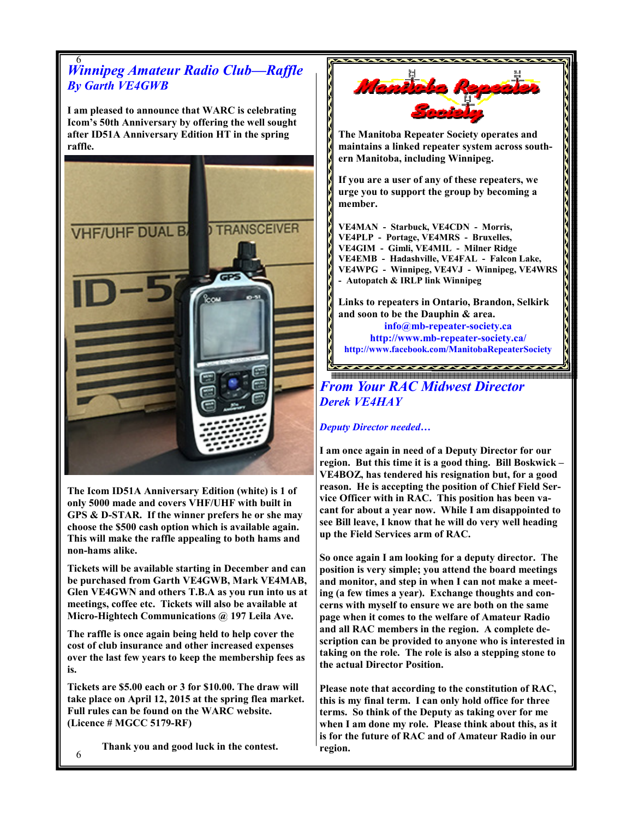### 6 Winnipeg Amateur Radio Club—Raffle By Garth VE4GWB

I am pleased to announce that WARC is celebrating Icom's 50th Anniversary by offering the well sought after ID51A Anniversary Edition HT in the spring raffle.



The Icom ID51A Anniversary Edition (white) is 1 of only 5000 made and covers VHF/UHF with built in GPS & D-STAR. If the winner prefers he or she may choose the \$500 cash option which is available again. This will make the raffle appealing to both hams and non-hams alike.

Tickets will be available starting in December and can be purchased from Garth VE4GWB, Mark VE4MAB, Glen VE4GWN and others T.B.A as you run into us at meetings, coffee etc. Tickets will also be available at Micro-Hightech Communications @ 197 Leila Ave.

The raffle is once again being held to help cover the cost of club insurance and other increased expenses over the last few years to keep the membership fees as is.

Tickets are \$5.00 each or 3 for \$10.00. The draw will take place on April 12, 2015 at the spring flea market. Full rules can be found on the WARC website. (Licence # MGCC 5179-RF)

Thank you and good luck in the contest.



Deputy Director needed…

I am once again in need of a Deputy Director for our region. But this time it is a good thing. Bill Boskwick – VE4BOZ, has tendered his resignation but, for a good reason. He is accepting the position of Chief Field Service Officer with in RAC. This position has been vacant for about a year now. While I am disappointed to see Bill leave, I know that he will do very well heading up the Field Services arm of RAC.

So once again I am looking for a deputy director. The position is very simple; you attend the board meetings and monitor, and step in when I can not make a meeting (a few times a year). Exchange thoughts and concerns with myself to ensure we are both on the same page when it comes to the welfare of Amateur Radio and all RAC members in the region. A complete description can be provided to anyone who is interested in taking on the role. The role is also a stepping stone to the actual Director Position.

Please note that according to the constitution of RAC, this is my final term. I can only hold office for three terms. So think of the Deputy as taking over for me when I am done my role. Please think about this, as it is for the future of RAC and of Amateur Radio in our region.

6